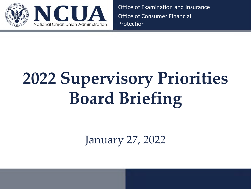

Office of Examination and Insurance Office of Consumer Financial Protection

# **2022 Supervisory Priorities Board Briefing**

January 27, 2022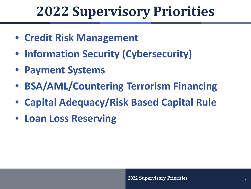- **Credit Risk Management**
- **Information Security (Cybersecurity)**
- **Payment Systems**
- **BSA/AML/Countering Terrorism Financing**
- **Capital Adequacy/Risk Based Capital Rule**
- **Loan Loss Reserving**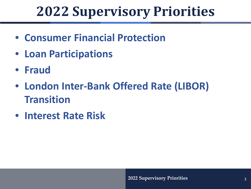- **Consumer Financial Protection**
- **Loan Participations**
- **Fraud**
- **London Inter-Bank Offered Rate (LIBOR) Transition**
- **Interest Rate Risk**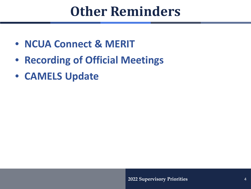#### **Other Reminders**

- **NCUA Connect & MERIT**
- **Recording of Official Meetings**
- **CAMELS Update**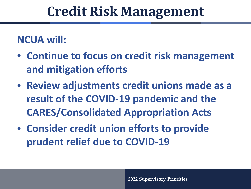#### **Credit Risk Management**

#### **NCUA will:**

- **Continue to focus on credit risk management and mitigation efforts**
- **Review adjustments credit unions made as a result of the COVID-19 pandemic and the CARES/Consolidated Appropriation Acts**
- **Consider credit union efforts to provide prudent relief due to COVID-19**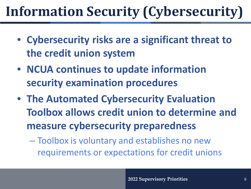# **Information Security (Cybersecurity)**

- **Cybersecurity risks are a significant threat to the credit union system**
- **NCUA continues to update information security examination procedures**
- **The Automated Cybersecurity Evaluation Toolbox allows credit union to determine and measure cybersecurity preparedness** 
	- Toolbox is voluntary and establishes no new requirements or expectations for credit unions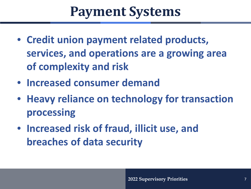#### **Payment Systems**

- **Credit union payment related products, services, and operations are a growing area of complexity and risk**
- **Increased consumer demand**
- **Heavy reliance on technology for transaction processing**
- **Increased risk of fraud, illicit use, and breaches of data security**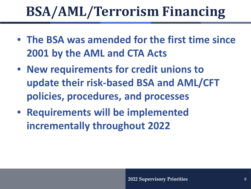# **BSA/AML/Terrorism Financing**

- **The BSA was amended for the first time since 2001 by the AML and CTA Acts**
- **New requirements for credit unions to update their risk-based BSA and AML/CFT policies, procedures, and processes**
- **Requirements will be implemented incrementally throughout 2022**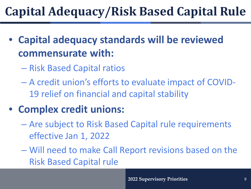#### **Capital Adequacy/Risk Based Capital Rule**

- **Capital adequacy standards will be reviewed commensurate with:**
	- Risk Based Capital ratios
	- A credit union's efforts to evaluate impact of COVID-19 relief on financial and capital stability
- **Complex credit unions:** 
	- Are subject to Risk Based Capital rule requirements effective Jan 1, 2022
	- Will need to make Call Report revisions based on the Risk Based Capital rule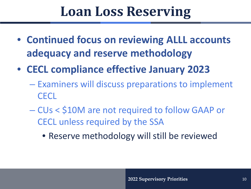#### **Loan Loss Reserving**

- **Continued focus on reviewing ALLL accounts adequacy and reserve methodology**
- **CECL compliance effective January 2023** 
	- Examiners will discuss preparations to implement **CECL**
	- CUs < \$10M are not required to follow GAAP or CECL unless required by the SSA
		- Reserve methodology will still be reviewed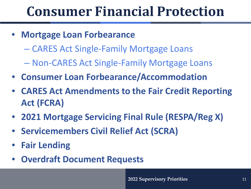#### **Consumer Financial Protection**

- **Mortgage Loan Forbearance**
	- CARES Act Single-Family Mortgage Loans
	- Non-CARES Act Single-Family Mortgage Loans
- **Consumer Loan Forbearance/Accommodation**
- **CARES Act Amendments to the Fair Credit Reporting Act (FCRA)**
- **2021 Mortgage Servicing Final Rule (RESPA/Reg X)**
- **Servicemembers Civil Relief Act (SCRA)**
- **Fair Lending**
- **Overdraft Document Requests**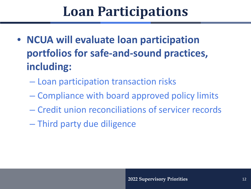#### **Loan Participations**

- **NCUA will evaluate loan participation portfolios for safe-and-sound practices, including:**
	- Loan participation transaction risks
	- Compliance with board approved policy limits
	- Credit union reconciliations of servicer records
	- Third party due diligence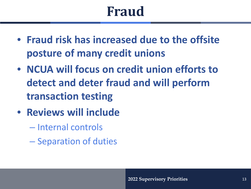### **Fraud**

- **Fraud risk has increased due to the offsite posture of many credit unions**
- **NCUA will focus on credit union efforts to detect and deter fraud and will perform transaction testing**
- **Reviews will include**
	- Internal controls
	- Separation of duties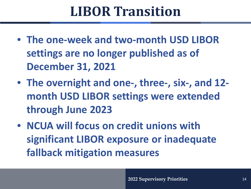#### **LIBOR Transition**

- **The one-week and two-month USD LIBOR settings are no longer published as of December 31, 2021**
- **The overnight and one-, three-, six-, and 12 month USD LIBOR settings were extended through June 2023**
- **NCUA will focus on credit unions with significant LIBOR exposure or inadequate fallback mitigation measures**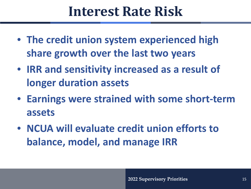#### **Interest Rate Risk**

- **The credit union system experienced high share growth over the last two years**
- **IRR and sensitivity increased as a result of longer duration assets**
- **Earnings were strained with some short-term assets**
- **NCUA will evaluate credit union efforts to balance, model, and manage IRR**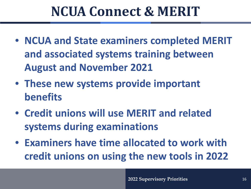#### **NCUA Connect & MERIT**

- **NCUA and State examiners completed MERIT and associated systems training between August and November 2021**
- **These new systems provide important benefits**
- **Credit unions will use MERIT and related systems during examinations**
- **Examiners have time allocated to work with credit unions on using the new tools in 2022**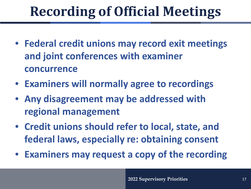# **Recording of Official Meetings**

- **Federal credit unions may record exit meetings and joint conferences with examiner concurrence**
- **Examiners will normally agree to recordings**
- **Any disagreement may be addressed with regional management**
- **Credit unions should refer to local, state, and federal laws, especially re: obtaining consent**
- **Examiners may request a copy of the recording**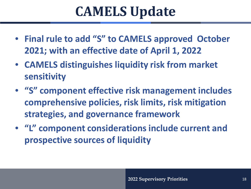#### **CAMELS Update**

- **Final rule to add "S" to CAMELS approved October 2021; with an effective date of April 1, 2022**
- **CAMELS distinguishes liquidity risk from market sensitivity**
- **"S" component effective risk management includes comprehensive policies, risk limits, risk mitigation strategies, and governance framework**
- **"L" component considerations include current and prospective sources of liquidity**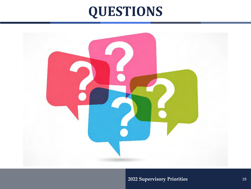### **QUESTIONS**